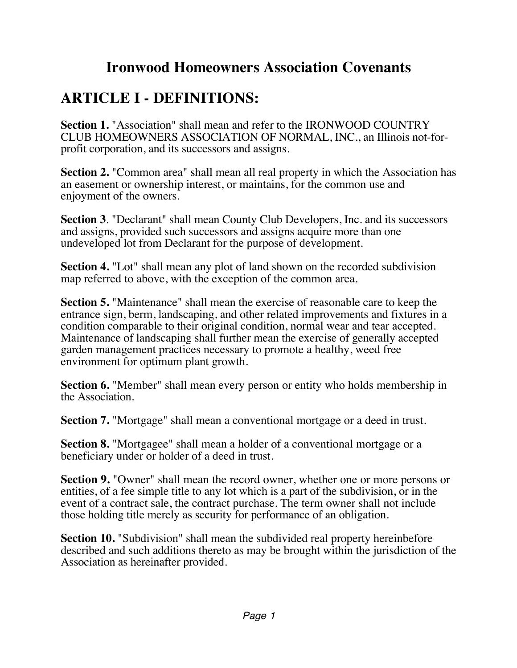### **Ironwood Homeowners Association Covenants**

# **ARTICLE I - DEFINITIONS:**

**Section 1.** "Association" shall mean and refer to the IRONWOOD COUNTRY CLUB HOMEOWNERS ASSOCIATION OF NORMAL, INC., an Illinois not-forprofit corporation, and its successors and assigns.

**Section 2.** "Common area" shall mean all real property in which the Association has an easement or ownership interest, or maintains, for the common use and enjoyment of the owners.

**Section 3**. "Declarant" shall mean County Club Developers, Inc. and its successors and assigns, provided such successors and assigns acquire more than one undeveloped lot from Declarant for the purpose of development.

**Section 4.** "Lot" shall mean any plot of land shown on the recorded subdivision map referred to above, with the exception of the common area.

**Section 5.** "Maintenance" shall mean the exercise of reasonable care to keep the entrance sign, berm, landscaping, and other related improvements and fixtures in a condition comparable to their original condition, normal wear and tear accepted. Maintenance of landscaping shall further mean the exercise of generally accepted garden management practices necessary to promote a healthy, weed free environment for optimum plant growth.

**Section 6.** "Member" shall mean every person or entity who holds membership in the Association.

**Section 7.** "Mortgage" shall mean a conventional mortgage or a deed in trust.

**Section 8.** "Mortgagee" shall mean a holder of a conventional mortgage or a beneficiary under or holder of a deed in trust.

**Section 9.** "Owner" shall mean the record owner, whether one or more persons or entities, of a fee simple title to any lot which is a part of the subdivision, or in the event of a contract sale, the contract purchase. The term owner shall not include those holding title merely as security for performance of an obligation.

**Section 10.** "Subdivision" shall mean the subdivided real property hereinbefore described and such additions thereto as may be brought within the jurisdiction of the Association as hereinafter provided.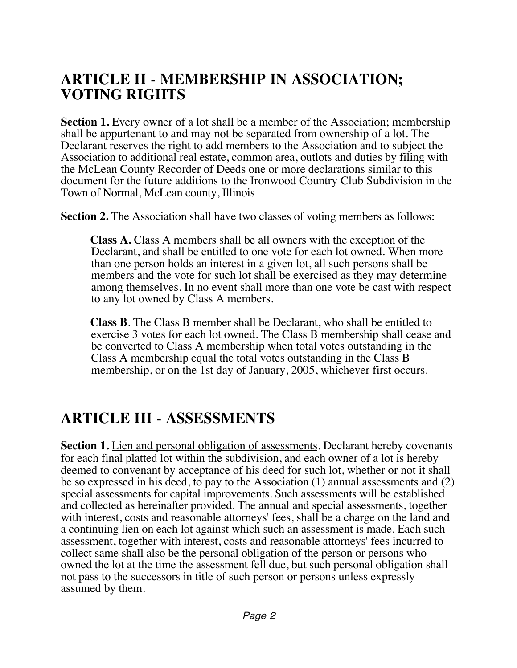#### **ARTICLE II - MEMBERSHIP IN ASSOCIATION; VOTING RIGHTS**

**Section 1.** Every owner of a lot shall be a member of the Association; membership shall be appurtenant to and may not be separated from ownership of a lot. The Declarant reserves the right to add members to the Association and to subject the Association to additional real estate, common area, outlots and duties by filing with the McLean County Recorder of Deeds one or more declarations similar to this document for the future additions to the Ironwood Country Club Subdivision in the Town of Normal, McLean county, Illinois

**Section 2.** The Association shall have two classes of voting members as follows:

**Class A.** Class A members shall be all owners with the exception of the Declarant, and shall be entitled to one vote for each lot owned. When more than one person holds an interest in a given lot, all such persons shall be members and the vote for such lot shall be exercised as they may determine among themselves. In no event shall more than one vote be cast with respect to any lot owned by Class A members.

**Class B**. The Class B member shall be Declarant, who shall be entitled to exercise 3 votes for each lot owned. The Class B membership shall cease and be converted to Class A membership when total votes outstanding in the Class A membership equal the total votes outstanding in the Class B membership, or on the 1st day of January, 2005, whichever first occurs.

#### **ARTICLE III - ASSESSMENTS**

**Section 1.** Lien and personal obligation of assessments. Declarant hereby covenants for each final platted lot within the subdivision, and each owner of a lot is hereby deemed to convenant by acceptance of his deed for such lot, whether or not it shall be so expressed in his deed, to pay to the Association (1) annual assessments and (2) special assessments for capital improvements. Such assessments will be established and collected as hereinafter provided. The annual and special assessments, together with interest, costs and reasonable attorneys' fees, shall be a charge on the land and a continuing lien on each lot against which such an assessment is made. Each such assessment, together with interest, costs and reasonable attorneys' fees incurred to collect same shall also be the personal obligation of the person or persons who owned the lot at the time the assessment fell due, but such personal obligation shall not pass to the successors in title of such person or persons unless expressly assumed by them.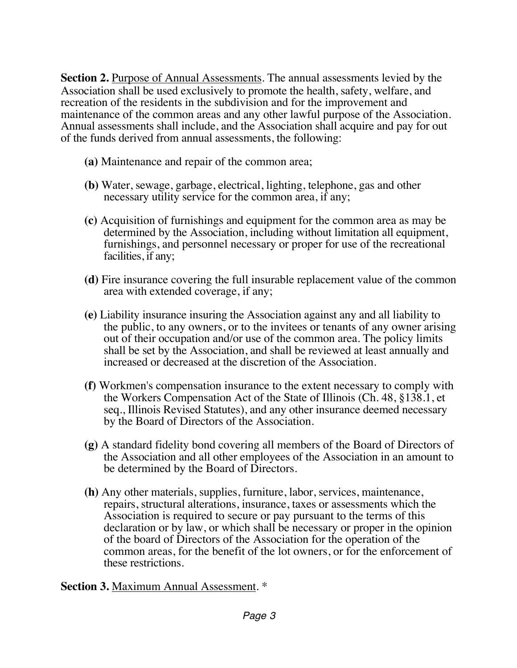**Section 2.** Purpose of Annual Assessments. The annual assessments levied by the Association shall be used exclusively to promote the health, safety, welfare, and recreation of the residents in the subdivision and for the improvement and maintenance of the common areas and any other lawful purpose of the Association. Annual assessments shall include, and the Association shall acquire and pay for out of the funds derived from annual assessments, the following:

- **(a)** Maintenance and repair of the common area;
- **(b)** Water, sewage, garbage, electrical, lighting, telephone, gas and other necessary utility service for the common area, if any;
- **(c)** Acquisition of furnishings and equipment for the common area as may be determined by the Association, including without limitation all equipment, furnishings, and personnel necessary or proper for use of the recreational facilities, if any;
- **(d)** Fire insurance covering the full insurable replacement value of the common area with extended coverage, if any;
- **(e)** Liability insurance insuring the Association against any and all liability to the public, to any owners, or to the invitees or tenants of any owner arising out of their occupation and/or use of the common area. The policy limits shall be set by the Association, and shall be reviewed at least annually and increased or decreased at the discretion of the Association.
- **(f)** Workmen's compensation insurance to the extent necessary to comply with the Workers Compensation Act of the State of Illinois (Ch. 48, §138.1, et seq., Illinois Revised Statutes), and any other insurance deemed necessary by the Board of Directors of the Association.
- **(g)** A standard fidelity bond covering all members of the Board of Directors of the Association and all other employees of the Association in an amount to be determined by the Board of Directors.
- **(h)** Any other materials, supplies, furniture, labor, services, maintenance, repairs, structural alterations, insurance, taxes or assessments which the Association is required to secure or pay pursuant to the terms of this declaration or by law, or which shall be necessary or proper in the opinion of the board of Directors of the Association for the operation of the common areas, for the benefit of the lot owners, or for the enforcement of these restrictions.

#### **Section 3.** Maximum Annual Assessment. \*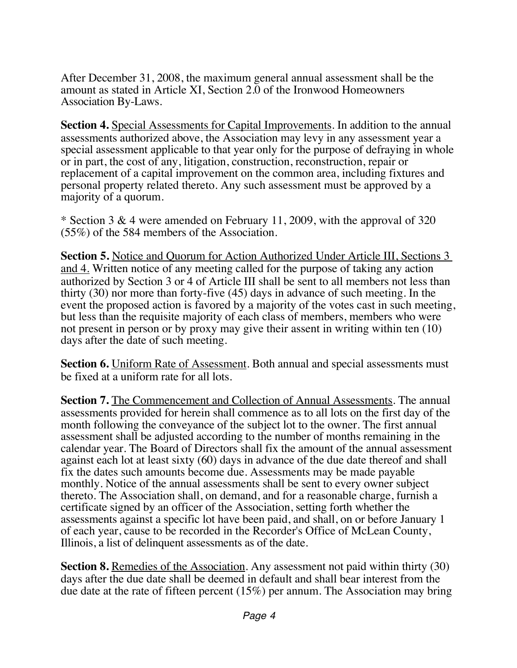After December 31, 2008, the maximum general annual assessment shall be the amount as stated in Article XI, Section 2.0 of the Ironwood Homeowners Association By-Laws.

**Section 4.** Special Assessments for Capital Improvements. In addition to the annual assessments authorized above, the Association may levy in any assessment year a special assessment applicable to that year only for the purpose of defraying in whole or in part, the cost of any, litigation, construction, reconstruction, repair or replacement of a capital improvement on the common area, including fixtures and personal property related thereto. Any such assessment must be approved by a majority of a quorum.

\* Section 3 & 4 were amended on February 11, 2009, with the approval of 320 (55%) of the 584 members of the Association.

**Section 5.** Notice and Quorum for Action Authorized Under Article III, Sections 3 and 4. Written notice of any meeting called for the purpose of taking any action authorized by Section 3 or 4 of Article III shall be sent to all members not less than thirty (30) nor more than forty-five (45) days in advance of such meeting. In the event the proposed action is favored by a majority of the votes cast in such meeting, but less than the requisite majority of each class of members, members who were not present in person or by proxy may give their assent in writing within ten (10) days after the date of such meeting.

**Section 6.** Uniform Rate of Assessment. Both annual and special assessments must be fixed at a uniform rate for all lots.

**Section 7.** The Commencement and Collection of Annual Assessments. The annual assessments provided for herein shall commence as to all lots on the first day of the month following the conveyance of the subject lot to the owner. The first annual assessment shall be adjusted according to the number of months remaining in the calendar year. The Board of Directors shall fix the amount of the annual assessment against each lot at least sixty (60) days in advance of the due date thereof and shall fix the dates such amounts become due. Assessments may be made payable monthly. Notice of the annual assessments shall be sent to every owner subject thereto. The Association shall, on demand, and for a reasonable charge, furnish a certificate signed by an officer of the Association, setting forth whether the assessments against a specific lot have been paid, and shall, on or before January 1 of each year, cause to be recorded in the Recorder's Office of McLean County, Illinois, a list of delinquent assessments as of the date.

**Section 8.** Remedies of the Association. Any assessment not paid within thirty (30) days after the due date shall be deemed in default and shall bear interest from the due date at the rate of fifteen percent (15%) per annum. The Association may bring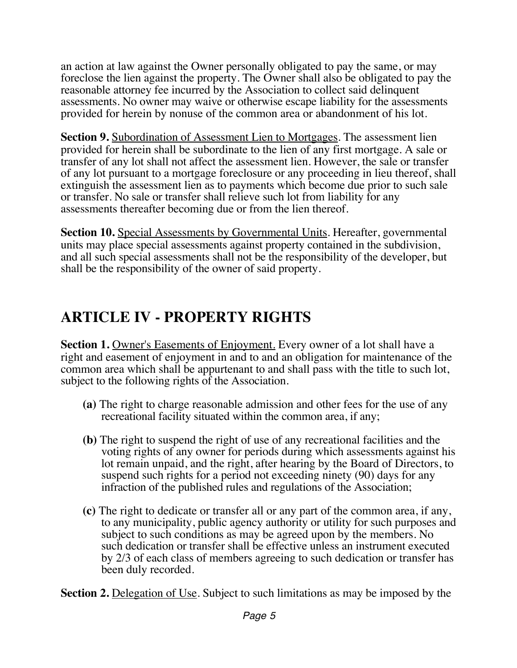an action at law against the Owner personally obligated to pay the same, or may foreclose the lien against the property. The Owner shall also be obligated to pay the reasonable attorney fee incurred by the Association to collect said delinquent assessments. No owner may waive or otherwise escape liability for the assessments provided for herein by nonuse of the common area or abandonment of his lot.

**Section 9.** Subordination of Assessment Lien to Mortgages. The assessment lien provided for herein shall be subordinate to the lien of any first mortgage. A sale or transfer of any lot shall not affect the assessment lien. However, the sale or transfer of any lot pursuant to a mortgage foreclosure or any proceeding in lieu thereof, shall extinguish the assessment lien as to payments which become due prior to such sale or transfer. No sale or transfer shall relieve such lot from liability for any assessments thereafter becoming due or from the lien thereof.

**Section 10.** Special Assessments by Governmental Units. Hereafter, governmental units may place special assessments against property contained in the subdivision, and all such special assessments shall not be the responsibility of the developer, but shall be the responsibility of the owner of said property.

# **ARTICLE IV - PROPERTY RIGHTS**

**Section 1.** Owner's Easements of Enjoyment. Every owner of a lot shall have a right and easement of enjoyment in and to and an obligation for maintenance of the common area which shall be appurtenant to and shall pass with the title to such lot, subject to the following rights of the Association.

- **(a)** The right to charge reasonable admission and other fees for the use of any recreational facility situated within the common area, if any;
- **(b)** The right to suspend the right of use of any recreational facilities and the voting rights of any owner for periods during which assessments against his lot remain unpaid, and the right, after hearing by the Board of Directors, to suspend such rights for a period not exceeding ninety (90) days for any infraction of the published rules and regulations of the Association;
- **(c)** The right to dedicate or transfer all or any part of the common area, if any, to any municipality, public agency authority or utility for such purposes and subject to such conditions as may be agreed upon by the members. No such dedication or transfer shall be effective unless an instrument executed by 2/3 of each class of members agreeing to such dedication or transfer has been duly recorded.

**Section 2.** Delegation of Use. Subject to such limitations as may be imposed by the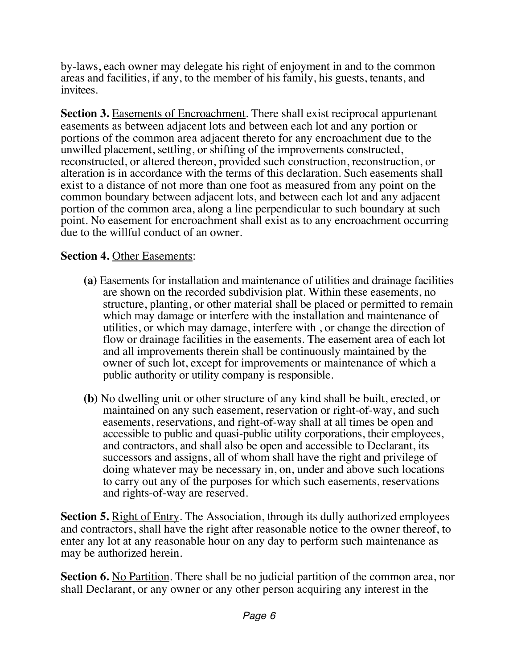by-laws, each owner may delegate his right of enjoyment in and to the common areas and facilities, if any, to the member of his family, his guests, tenants, and invitees.

**Section 3.** Easements of Encroachment. There shall exist reciprocal appurtenant easements as between adjacent lots and between each lot and any portion or portions of the common area adjacent thereto for any encroachment due to the unwilled placement, settling, or shifting of the improvements constructed, reconstructed, or altered thereon, provided such construction, reconstruction, or alteration is in accordance with the terms of this declaration. Such easements shall exist to a distance of not more than one foot as measured from any point on the common boundary between adjacent lots, and between each lot and any adjacent portion of the common area, along a line perpendicular to such boundary at such point. No easement for encroachment shall exist as to any encroachment occurring due to the willful conduct of an owner.

#### **Section 4.** Other Easements:

- **(a)** Easements for installation and maintenance of utilities and drainage facilities are shown on the recorded subdivision plat. Within these easements, no structure, planting, or other material shall be placed or permitted to remain which may damage or interfere with the installation and maintenance of utilities, or which may damage, interfere with , or change the direction of flow or drainage facilities in the easements. The easement area of each lot and all improvements therein shall be continuously maintained by the owner of such lot, except for improvements or maintenance of which a public authority or utility company is responsible.
- **(b)** No dwelling unit or other structure of any kind shall be built, erected, or maintained on any such easement, reservation or right-of-way, and such easements, reservations, and right-of-way shall at all times be open and accessible to public and quasi-public utility corporations, their employees, and contractors, and shall also be open and accessible to Declarant, its successors and assigns, all of whom shall have the right and privilege of doing whatever may be necessary in, on, under and above such locations to carry out any of the purposes for which such easements, reservations and rights-of-way are reserved.

**Section 5.** Right of Entry. The Association, through its dully authorized employees and contractors, shall have the right after reasonable notice to the owner thereof, to enter any lot at any reasonable hour on any day to perform such maintenance as may be authorized herein.

**Section 6.** No Partition. There shall be no judicial partition of the common area, nor shall Declarant, or any owner or any other person acquiring any interest in the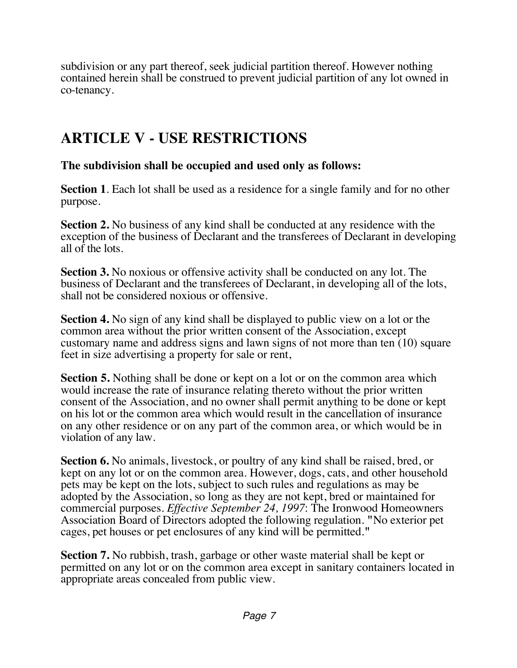subdivision or any part thereof, seek judicial partition thereof. However nothing contained herein shall be construed to prevent judicial partition of any lot owned in co-tenancy.

## **ARTICLE V - USE RESTRICTIONS**

**The subdivision shall be occupied and used only as follows:**

**Section 1**. Each lot shall be used as a residence for a single family and for no other purpose.

**Section 2.** No business of any kind shall be conducted at any residence with the exception of the business of Declarant and the transferees of Declarant in developing all of the lots.

**Section 3.** No noxious or offensive activity shall be conducted on any lot. The business of Declarant and the transferees of Declarant, in developing all of the lots, shall not be considered noxious or offensive.

**Section 4.** No sign of any kind shall be displayed to public view on a lot or the common area without the prior written consent of the Association, except customary name and address signs and lawn signs of not more than ten (10) square feet in size advertising a property for sale or rent,

**Section 5.** Nothing shall be done or kept on a lot or on the common area which would increase the rate of insurance relating thereto without the prior written consent of the Association, and no owner shall permit anything to be done or kept on his lot or the common area which would result in the cancellation of insurance on any other residence or on any part of the common area, or which would be in violation of any law.

**Section 6.** No animals, livestock, or poultry of any kind shall be raised, bred, or kept on any lot or on the common area. However, dogs, cats, and other household pets may be kept on the lots, subject to such rules and regulations as may be adopted by the Association, so long as they are not kept, bred or maintained for commercial purposes. *Effective September 24, 1997*: The Ironwood Homeowners Association Board of Directors adopted the following regulation. **"**No exterior pet cages, pet houses or pet enclosures of any kind will be permitted.**"**

**Section 7.** No rubbish, trash, garbage or other waste material shall be kept or permitted on any lot or on the common area except in sanitary containers located in appropriate areas concealed from public view.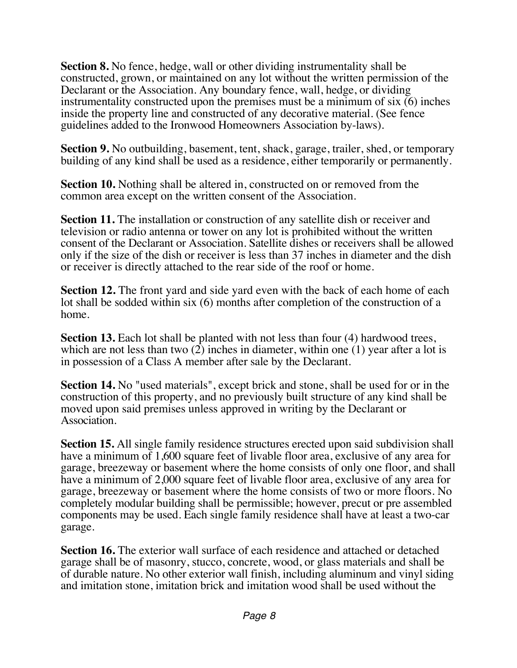**Section 8.** No fence, hedge, wall or other dividing instrumentality shall be constructed, grown, or maintained on any lot without the written permission of the Declarant or the Association. Any boundary fence, wall, hedge, or dividing instrumentality constructed upon the premises must be a minimum of six (6) inches inside the property line and constructed of any decorative material. (See fence guidelines added to the Ironwood Homeowners Association by-laws).

**Section 9.** No outbuilding, basement, tent, shack, garage, trailer, shed, or temporary building of any kind shall be used as a residence, either temporarily or permanently.

**Section 10.** Nothing shall be altered in, constructed on or removed from the common area except on the written consent of the Association.

**Section 11.** The installation or construction of any satellite dish or receiver and television or radio antenna or tower on any lot is prohibited without the written consent of the Declarant or Association. Satellite dishes or receivers shall be allowed only if the size of the dish or receiver is less than 37 inches in diameter and the dish or receiver is directly attached to the rear side of the roof or home.

**Section 12.** The front yard and side yard even with the back of each home of each lot shall be sodded within six (6) months after completion of the construction of a home.

**Section 13.** Each lot shall be planted with not less than four (4) hardwood trees, which are not less than two (2) inches in diameter, within one (1) year after a lot is in possession of a Class A member after sale by the Declarant.

**Section 14.** No "used materials", except brick and stone, shall be used for or in the construction of this property, and no previously built structure of any kind shall be moved upon said premises unless approved in writing by the Declarant or Association.

**Section 15.** All single family residence structures erected upon said subdivision shall have a minimum of 1,600 square feet of livable floor area, exclusive of any area for garage, breezeway or basement where the home consists of only one floor, and shall have a minimum of 2,000 square feet of livable floor area, exclusive of any area for garage, breezeway or basement where the home consists of two or more floors. No completely modular building shall be permissible; however, precut or pre assembled components may be used. Each single family residence shall have at least a two-car garage.

**Section 16.** The exterior wall surface of each residence and attached or detached garage shall be of masonry, stucco, concrete, wood, or glass materials and shall be of durable nature. No other exterior wall finish, including aluminum and vinyl siding and imitation stone, imitation brick and imitation wood shall be used without the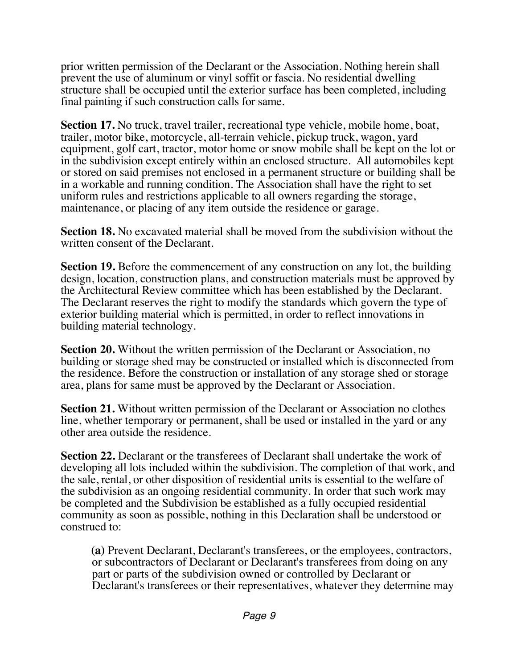prior written permission of the Declarant or the Association. Nothing herein shall prevent the use of aluminum or vinyl soffit or fascia. No residential dwelling structure shall be occupied until the exterior surface has been completed, including final painting if such construction calls for same.

**Section 17.** No truck, travel trailer, recreational type vehicle, mobile home, boat, trailer, motor bike, motorcycle, all-terrain vehicle, pickup truck, wagon, yard equipment, golf cart, tractor, motor home or snow mobile shall be kept on the lot or in the subdivision except entirely within an enclosed structure. All automobiles kept or stored on said premises not enclosed in a permanent structure or building shall be in a workable and running condition. The Association shall have the right to set uniform rules and restrictions applicable to all owners regarding the storage, maintenance, or placing of any item outside the residence or garage.

**Section 18.** No excavated material shall be moved from the subdivision without the written consent of the Declarant.

**Section 19.** Before the commencement of any construction on any lot, the building design, location, construction plans, and construction materials must be approved by the Architectural Review committee which has been established by the Declarant. The Declarant reserves the right to modify the standards which govern the type of exterior building material which is permitted, in order to reflect innovations in building material technology.

**Section 20.** Without the written permission of the Declarant or Association, no building or storage shed may be constructed or installed which is disconnected from the residence. Before the construction or installation of any storage shed or storage area, plans for same must be approved by the Declarant or Association.

**Section 21.** Without written permission of the Declarant or Association no clothes line, whether temporary or permanent, shall be used or installed in the yard or any other area outside the residence.

**Section 22.** Declarant or the transferees of Declarant shall undertake the work of developing all lots included within the subdivision. The completion of that work, and the sale, rental, or other disposition of residential units is essential to the welfare of the subdivision as an ongoing residential community. In order that such work may be completed and the Subdivision be established as a fully occupied residential community as soon as possible, nothing in this Declaration shall be understood or construed to:

**(a)** Prevent Declarant, Declarant's transferees, or the employees, contractors, or subcontractors of Declarant or Declarant's transferees from doing on any part or parts of the subdivision owned or controlled by Declarant or Declarant's transferees or their representatives, whatever they determine may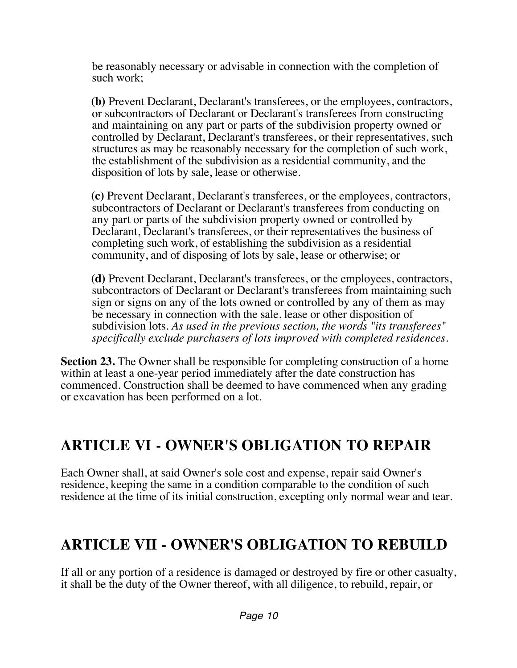be reasonably necessary or advisable in connection with the completion of such work;

**(b)** Prevent Declarant, Declarant's transferees, or the employees, contractors, or subcontractors of Declarant or Declarant's transferees from constructing and maintaining on any part or parts of the subdivision property owned or controlled by Declarant, Declarant's transferees, or their representatives, such structures as may be reasonably necessary for the completion of such work, the establishment of the subdivision as a residential community, and the disposition of lots by sale, lease or otherwise.

**(c)** Prevent Declarant, Declarant's transferees, or the employees, contractors, subcontractors of Declarant or Declarant's transferees from conducting on any part or parts of the subdivision property owned or controlled by Declarant, Declarant's transferees, or their representatives the business of completing such work, of establishing the subdivision as a residential community, and of disposing of lots by sale, lease or otherwise; or

**(d)** Prevent Declarant, Declarant's transferees, or the employees, contractors, subcontractors of Declarant or Declarant's transferees from maintaining such sign or signs on any of the lots owned or controlled by any of them as may be necessary in connection with the sale, lease or other disposition of subdivision lots. *As used in the previous section, the words "its transferees" specifically exclude purchasers of lots improved with completed residences.*

**Section 23.** The Owner shall be responsible for completing construction of a home within at least a one-year period immediately after the date construction has commenced. Construction shall be deemed to have commenced when any grading or excavation has been performed on a lot.

# **ARTICLE VI - OWNER'S OBLIGATION TO REPAIR**

Each Owner shall, at said Owner's sole cost and expense, repair said Owner's residence, keeping the same in a condition comparable to the condition of such residence at the time of its initial construction, excepting only normal wear and tear.

# **ARTICLE VII - OWNER'S OBLIGATION TO REBUILD**

If all or any portion of a residence is damaged or destroyed by fire or other casualty, it shall be the duty of the Owner thereof, with all diligence, to rebuild, repair, or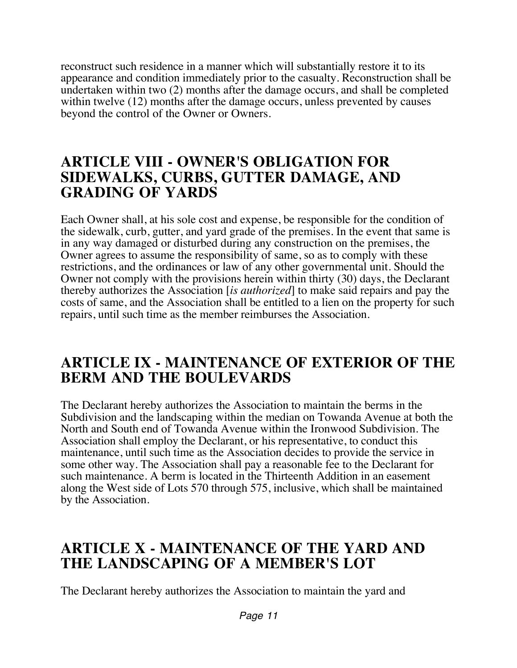reconstruct such residence in a manner which will substantially restore it to its appearance and condition immediately prior to the casualty. Reconstruction shall be undertaken within two (2) months after the damage occurs, and shall be completed within twelve (12) months after the damage occurs, unless prevented by causes beyond the control of the Owner or Owners.

#### **ARTICLE VIII - OWNER'S OBLIGATION FOR SIDEWALKS, CURBS, GUTTER DAMAGE, AND GRADING OF YARDS**

Each Owner shall, at his sole cost and expense, be responsible for the condition of the sidewalk, curb, gutter, and yard grade of the premises. In the event that same is in any way damaged or disturbed during any construction on the premises, the Owner agrees to assume the responsibility of same, so as to comply with these restrictions, and the ordinances or law of any other governmental unit. Should the Owner not comply with the provisions herein within thirty (30) days, the Declarant thereby authorizes the Association [*is authorized*] to make said repairs and pay the costs of same, and the Association shall be entitled to a lien on the property for such repairs, until such time as the member reimburses the Association.

#### **ARTICLE IX - MAINTENANCE OF EXTERIOR OF THE BERM AND THE BOULEVARDS**

The Declarant hereby authorizes the Association to maintain the berms in the Subdivision and the landscaping within the median on Towanda Avenue at both the North and South end of Towanda Avenue within the Ironwood Subdivision. The Association shall employ the Declarant, or his representative, to conduct this maintenance, until such time as the Association decides to provide the service in some other way. The Association shall pay a reasonable fee to the Declarant for such maintenance. A berm is located in the Thirteenth Addition in an easement along the West side of Lots 570 through 575, inclusive, which shall be maintained by the Association.

#### **ARTICLE X - MAINTENANCE OF THE YARD AND THE LANDSCAPING OF A MEMBER'S LOT**

The Declarant hereby authorizes the Association to maintain the yard and